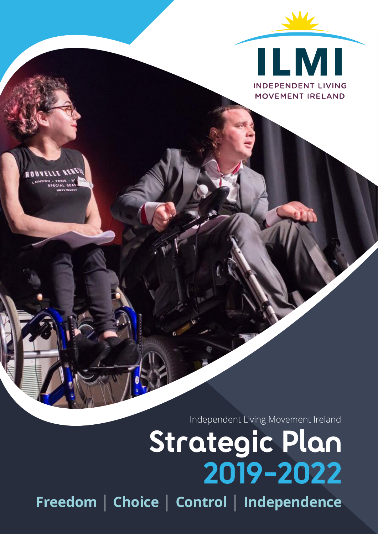

Independent Living Movement Ireland

# **Strategic Plan 2019-2022**

**Freedom** | **Choice** | **Control** | **Independence**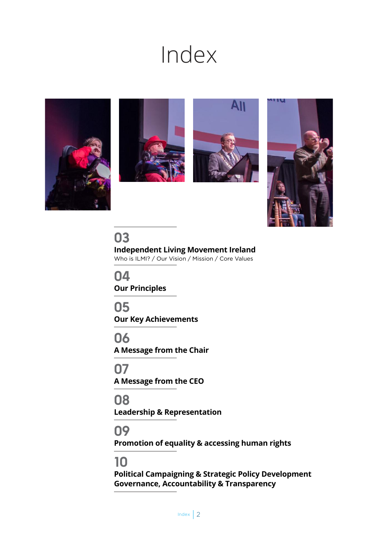## Index









**03 Independent Living Movement Ireland** Who is ILMI? / Our Vision / Mission / Core Values

**04 Our Principles**

**05 Our Key Achievements**

**06 A Message from the Chair**

**07 A Message from the CEO**

**08 Leadership & Representation**

**09**

**Promotion of equality & accessing human rights**

## **10**

**Political Campaigning & Strategic Policy Development Governance, Accountability & Transparency**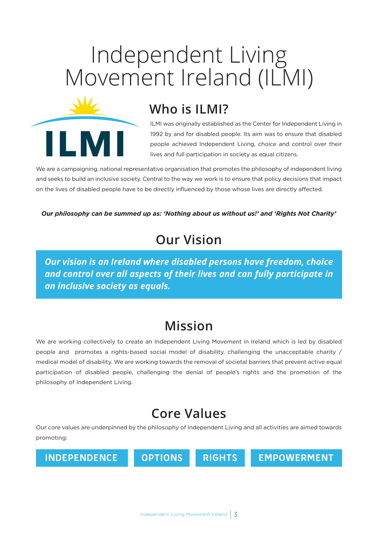## Independent Living Movement Ireland (ILMI)



ILMI was originally established as the Center for Independent Living in 1992 by and for disabled people. Its aim was to ensure that disabled people achieved Independent Living, choice and control over their lives and full participation in society as equal citizens.

We are a campaigning, national representative organisation that promotes the philosophy of independent living and seeks to build an inclusive society. Central to the way we work is to ensure that policy decisions that impact on the lives of disabled people have to be directly influenced by those whose lives are directly affected.

*Our philosophy can be summed up as: 'Nothing about us without us!' and 'Rights Not Charity'*

### **Our Vision**

*Our vision is an Ireland where disabled persons have freedom, choice and control over all aspects of their lives and can fully participate in an inclusive society as equals.*

## **Mission**

We are working collectively to create an Independent Living Movement in Ireland which is led by disabled people and promotes a rights-based social model of disability, challenging the unacceptable charity / medical model of disability. We are working towards the removal of societal barriers that prevent active equal participation of disabled people, challenging the denial of people's rights and the promotion of the philosophy of Independent Living.

## **Core Values**

Our core values are underpinned by the philosophy of Independent Living and all activities are aimed towards promoting:

**INDEPENDENCE OPTIONS RIGHTS EMPOWERMENT**

N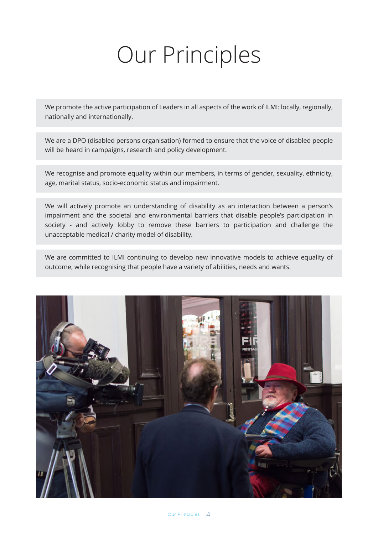## Our Principles

We promote the active participation of Leaders in all aspects of the work of ILMI: locally, regionally, nationally and internationally.

We are a DPO (disabled persons organisation) formed to ensure that the voice of disabled people will be heard in campaigns, research and policy development.

We recognise and promote equality within our members, in terms of gender, sexuality, ethnicity, age, marital status, socio-economic status and impairment.

We will actively promote an understanding of disability as an interaction between a person's impairment and the societal and environmental barriers that disable people's participation in society - and actively lobby to remove these barriers to participation and challenge the unacceptable medical / charity model of disability.

We are committed to ILMI continuing to develop new innovative models to achieve equality of outcome, while recognising that people have a variety of abilities, needs and wants.

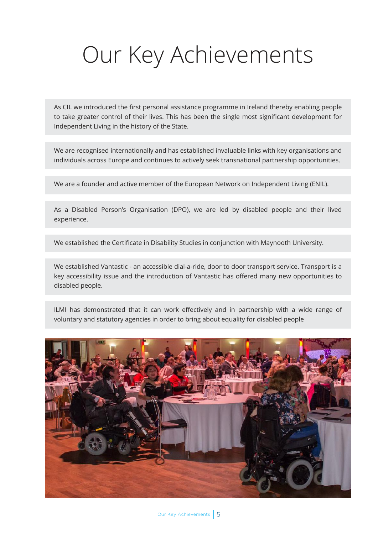## Our Key Achievements

As CIL we introduced the first personal assistance programme in Ireland thereby enabling people to take greater control of their lives. This has been the single most significant development for Independent Living in the history of the State.

We are recognised internationally and has established invaluable links with key organisations and individuals across Europe and continues to actively seek transnational partnership opportunities.

We are a founder and active member of the European Network on Independent Living (ENIL).

As a Disabled Person's Organisation (DPO), we are led by disabled people and their lived experience.

We established the Certificate in Disability Studies in conjunction with Maynooth University.

We established Vantastic - an accessible dial-a-ride, door to door transport service. Transport is a key accessibility issue and the introduction of Vantastic has offered many new opportunities to disabled people.

ILMI has demonstrated that it can work effectively and in partnership with a wide range of voluntary and statutory agencies in order to bring about equality for disabled people

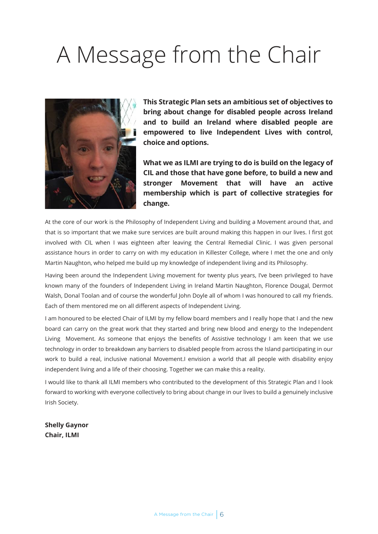## A Message from the Chair



**This Strategic Plan sets an ambitious set of objectives to bring about change for disabled people across Ireland and to build an Ireland where disabled people are empowered to live Independent Lives with control, choice and options.**

**What we as ILMI are trying to do is build on the legacy of CIL and those that have gone before, to build a new and stronger Movement that will have an active membership which is part of collective strategies for change.**

At the core of our work is the Philosophy of Independent Living and building a Movement around that, and that is so important that we make sure services are built around making this happen in our lives. I first got involved with CIL when I was eighteen after leaving the Central Remedial Clinic. I was given personal assistance hours in order to carry on with my education in Killester College, where I met the one and only Martin Naughton, who helped me build up my knowledge of independent living and its Philosophy.

Having been around the Independent Living movement for twenty plus years, I've been privileged to have known many of the founders of Independent Living in Ireland Martin Naughton, Florence Dougal, Dermot Walsh, Donal Toolan and of course the wonderful John Doyle all of whom I was honoured to call my friends. Each of them mentored me on all different aspects of Independent Living.

I am honoured to be elected Chair of ILMI by my fellow board members and I really hope that I and the new board can carry on the great work that they started and bring new blood and energy to the Independent Living Movement. As someone that enjoys the benefits of Assistive technology I am keen that we use technology in order to breakdown any barriers to disabled people from across the Island participating in our work to build a real, inclusive national Movement.I envision a world that all people with disability enjoy independent living and a life of their choosing. Together we can make this a reality.

I would like to thank all ILMI members who contributed to the development of this Strategic Plan and I look forward to working with everyone collectively to bring about change in our lives to build a genuinely inclusive Irish Society.

**Shelly Gaynor Chair, ILMI**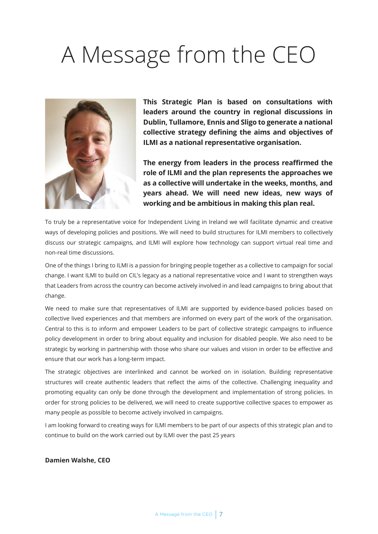## A Message from the CEO



**This Strategic Plan is based on consultations with leaders around the country in regional discussions in Dublin, Tullamore, Ennis and Sligo to generate a national collective strategy defining the aims and objectives of ILMI as a national representative organisation.**

**The energy from leaders in the process reaffirmed the role of ILMI and the plan represents the approaches we as a collective will undertake in the weeks, months, and years ahead. We will need new ideas, new ways of working and be ambitious in making this plan real.**

To truly be a representative voice for Independent Living in Ireland we will facilitate dynamic and creative ways of developing policies and positions. We will need to build structures for ILMI members to collectively discuss our strategic campaigns, and ILMI will explore how technology can support virtual real time and non-real time discussions.

One of the things I bring to ILMI is a passion for bringing people together as a collective to campaign for social change. I want ILMI to build on CIL's legacy as a national representative voice and I want to strengthen ways that Leaders from across the country can become actively involved in and lead campaigns to bring about that change.

We need to make sure that representatives of ILMI are supported by evidence-based policies based on collective lived experiences and that members are informed on every part of the work of the organisation. Central to this is to inform and empower Leaders to be part of collective strategic campaigns to influence policy development in order to bring about equality and inclusion for disabled people. We also need to be strategic by working in partnership with those who share our values and vision in order to be effective and ensure that our work has a long-term impact.

The strategic objectives are interlinked and cannot be worked on in isolation. Building representative structures will create authentic leaders that reflect the aims of the collective. Challenging inequality and promoting equality can only be done through the development and implementation of strong policies. In order for strong policies to be delivered, we will need to create supportive collective spaces to empower as many people as possible to become actively involved in campaigns.

I am looking forward to creating ways for ILMI members to be part of our aspects of this strategic plan and to continue to build on the work carried out by ILMI over the past 25 years

#### **Damien Walshe, CEO**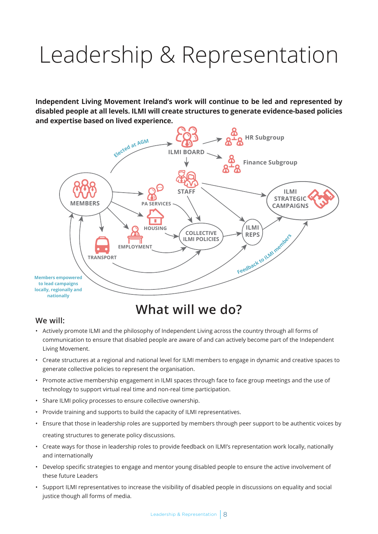## Leadership & Representation

**Independent Living Movement Ireland's work will continue to be led and represented by disabled people at all levels. ILMI will create structures to generate evidence-based policies and expertise based on lived experience.**



## **What will we do?**

#### **We will:**

- Actively promote ILMI and the philosophy of Independent Living across the country through all forms of communication to ensure that disabled people are aware of and can actively become part of the Independent Living Movement.
- Create structures at a regional and national level for ILMI members to engage in dynamic and creative spaces to generate collective policies to represent the organisation.
- Promote active membership engagement in ILMI spaces through face to face group meetings and the use of technology to support virtual real time and non-real time participation.
- Share ILMI policy processes to ensure collective ownership.
- Provide training and supports to build the capacity of ILMI representatives.
- Ensure that those in leadership roles are supported by members through peer support to be authentic voices by creating structures to generate policy discussions.
- Create ways for those in leadership roles to provide feedback on ILMI's representation work locally, nationally and internationally
- Develop specific strategies to engage and mentor young disabled people to ensure the active involvement of these future Leaders
- Support ILMI representatives to increase the visibility of disabled people in discussions on equality and social justice though all forms of media.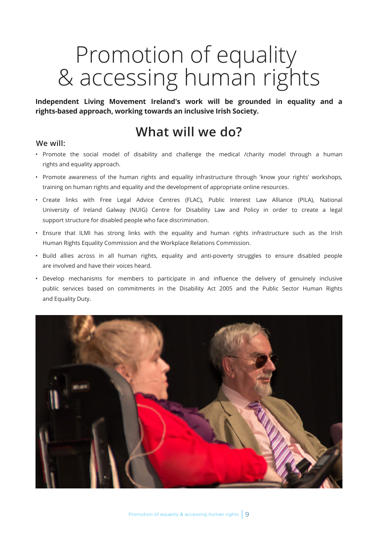## Promotion of equality & accessing human rights

**Independent Living Movement Ireland's work will be grounded in equality and a rights-based approach, working towards an inclusive Irish Society.**

### **What will we do?**

#### **We will:**

- Promote the social model of disability and challenge the medical /charity model through a human rights and equality approach.
- Promote awareness of the human rights and equality infrastructure through 'know your rights' workshops, training on human rights and equality and the development of appropriate online resources.
- Create links with Free Legal Advice Centres (FLAC), Public Interest Law Alliance (PILA), National University of Ireland Galway (NUIG) Centre for Disability Law and Policy in order to create a legal support structure for disabled people who face discrimination.
- Ensure that ILMI has strong links with the equality and human rights infrastructure such as the Irish Human Rights Equality Commission and the Workplace Relations Commission.
- Build allies across in all human rights, equality and anti-poverty struggles to ensure disabled people are involved and have their voices heard.
- Develop mechanisms for members to participate in and influence the delivery of genuinely inclusive public services based on commitments in the Disability Act 2005 and the Public Sector Human Rights and Equality Duty.

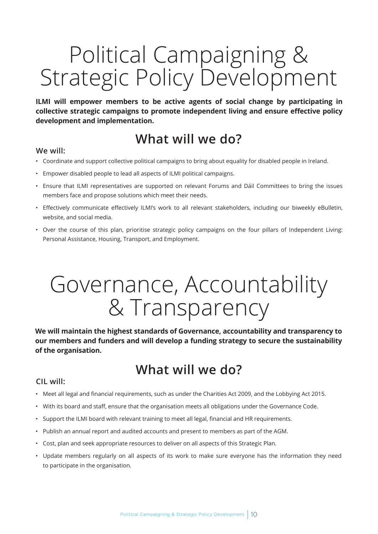## Political Campaigning & Strategic Policy Development

**ILMI will empower members to be active agents of social change by participating in collective strategic campaigns to promote independent living and ensure effective policy development and implementation.**

## **What will we do?**

#### **We will:**

- Coordinate and support collective political campaigns to bring about equality for disabled people in Ireland.
- Empower disabled people to lead all aspects of ILMI political campaigns.
- Ensure that ILMI representatives are supported on relevant Forums and Dáil Committees to bring the issues members face and propose solutions which meet their needs.
- Effectively communicate effectively ILMI's work to all relevant stakeholders, including our biweekly eBulletin, website, and social media.
- Over the course of this plan, prioritise strategic policy campaigns on the four pillars of Independent Living: Personal Assistance, Housing, Transport, and Employment.

## Governance, Accountability & Transparency

**We will maintain the highest standards of Governance, accountability and transparency to our members and funders and will develop a funding strategy to secure the sustainability of the organisation.**

## **What will we do?**

#### **CIL will:**

- Meet all legal and financial requirements, such as under the Charities Act 2009, and the Lobbying Act 2015.
- With its board and staff, ensure that the organisation meets all obligations under the Governance Code.
- Support the ILMI board with relevant training to meet all legal, financial and HR requirements.
- Publish an annual report and audited accounts and present to members as part of the AGM.
- Cost, plan and seek appropriate resources to deliver on all aspects of this Strategic Plan.
- Update members regularly on all aspects of its work to make sure everyone has the information they need to participate in the organisation.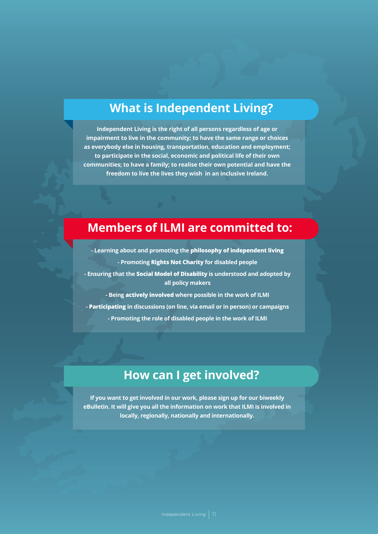### **What is Independent Living?**

**Independent Living is the right of all persons regardless of age or impairment to live in the community; to have the same range or choices as everybody else in housing, transportation, education and employment; to participate in the social, economic and political life of their own communities; to have a family; to realise their own potential and have the freedom to live the lives they wish in an inclusive Ireland.**

### **Members of ILMI are committed to:**

**- Learning about and promoting the philosophy of independent living - Promoting Rights Not Charity for disabled people - Ensuring that the Social Model of Disability is understood and adopted by all policy makers - Being actively involved where possible in the work of ILMI - Participating in discussions (on line, via email or in person) or campaigns - Promoting the role of disabled people in the work of ILMI**

### **How can I get involved?**

**If you want to get involved in our work, please sign up for our biweekly eBulletin. It will give you all the information on work that ILMI is involved in locally, regionally, nationally and internationally.**